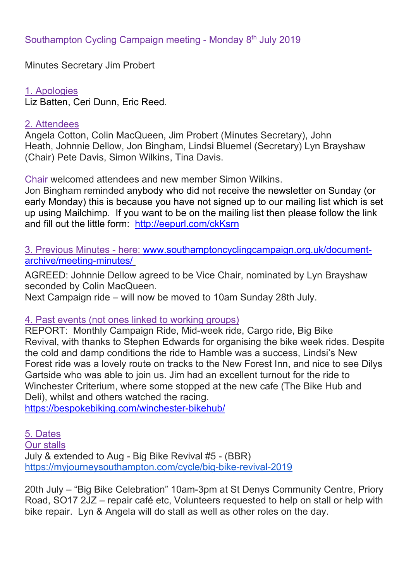Minutes Secretary Jim Probert

1. Apologies Liz Batten, Ceri Dunn, Eric Reed.

## 2. Attendees

Angela Cotton, Colin MacQueen, Jim Probert (Minutes Secretary), John Heath, Johnnie Dellow, Jon Bingham, Lindsi Bluemel (Secretary) Lyn Brayshaw (Chair) Pete Davis, Simon Wilkins, Tina Davis.

Chair welcomed attendees and new member Simon Wilkins.

Jon Bingham reminded anybody who did not receive the newsletter on Sunday (or early Monday) this is because you have not signed up to our mailing list which is set up using Mailchimp. If you want to be on the mailing list then please follow the link and fill out the little form: http://eepurl.com/ckKsrn

3. Previous Minutes - here: www.southamptoncyclingcampaign.org.uk/documentarchive/meeting-minutes/

AGREED: Johnnie Dellow agreed to be Vice Chair, nominated by Lyn Brayshaw seconded by Colin MacQueen.

Next Campaign ride – will now be moved to 10am Sunday 28th July.

## 4. Past events (not ones linked to working groups)

REPORT: Monthly Campaign Ride, Mid-week ride, Cargo ride, Big Bike Revival, with thanks to Stephen Edwards for organising the bike week rides. Despite the cold and damp conditions the ride to Hamble was a success, Lindsi's New Forest ride was a lovely route on tracks to the New Forest Inn, and nice to see Dilys Gartside who was able to join us. Jim had an excellent turnout for the ride to Winchester Criterium, where some stopped at the new cafe (The Bike Hub and Deli), whilst and others watched the racing.

https://bespokebiking.com/winchester-bikehub/

5. Dates Our stalls July & extended to Aug - Big Bike Revival #5 - (BBR) https://myjourneysouthampton.com/cycle/big-bike-revival-2019

20th July – "Big Bike Celebration" 10am-3pm at St Denys Community Centre, Priory Road, SO17 2JZ – repair café etc, Volunteers requested to help on stall or help with bike repair. Lyn & Angela will do stall as well as other roles on the day.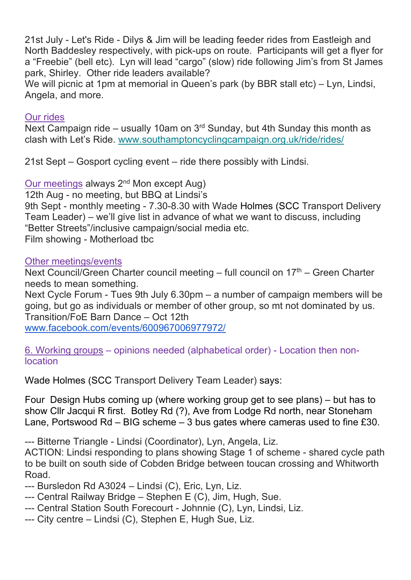21st July - Let's Ride - Dilys & Jim will be leading feeder rides from Eastleigh and North Baddesley respectively, with pick-ups on route. Participants will get a flyer for a "Freebie" (bell etc). Lyn will lead "cargo" (slow) ride following Jim's from St James park, Shirley. Other ride leaders available?

We will picnic at 1pm at memorial in Queen's park (by BBR stall etc) – Lyn, Lindsi, Angela, and more.

## Our rides

Next Campaign ride – usually 10am on 3<sup>rd</sup> Sunday, but 4th Sunday this month as clash with Let's Ride. www.southamptoncyclingcampaign.org.uk/ride/rides/

21st Sept – Gosport cycling event – ride there possibly with Lindsi.

Our meetings always 2<sup>nd</sup> Mon except Aug)

12th Aug - no meeting, but BBQ at Lindsi's

9th Sept - monthly meeting - 7.30-8.30 with Wade Holmes (SCC Transport Delivery Team Leader) – we'll give list in advance of what we want to discuss, including "Better Streets"/inclusive campaign/social media etc.

Film showing - Motherload tbc

Other meetings/events

Next Council/Green Charter council meeting – full council on 17th – Green Charter needs to mean something.

Next Cycle Forum - Tues 9th July 6.30pm – a number of campaign members will be going, but go as individuals or member of other group, so mt not dominated by us. Transition/FoE Barn Dance – Oct 12th

www.facebook.com/events/600967006977972/

6. Working groups – opinions needed (alphabetical order) - Location then nonlocation

Wade Holmes (SCC Transport Delivery Team Leader) says:

Four Design Hubs coming up (where working group get to see plans) – but has to show Cllr Jacqui R first. Botley Rd (?), Ave from Lodge Rd north, near Stoneham Lane, Portswood Rd – BIG scheme – 3 bus gates where cameras used to fine £30.

--- Bitterne Triangle - Lindsi (Coordinator), Lyn, Angela, Liz.

ACTION: Lindsi responding to plans showing Stage 1 of scheme - shared cycle path to be built on south side of Cobden Bridge between toucan crossing and Whitworth Road.

--- Bursledon Rd A3024 – Lindsi (C), Eric, Lyn, Liz.

- --- Central Railway Bridge Stephen E (C), Jim, Hugh, Sue.
- --- Central Station South Forecourt Johnnie (C), Lyn, Lindsi, Liz.
- --- City centre Lindsi (C), Stephen E, Hugh Sue, Liz.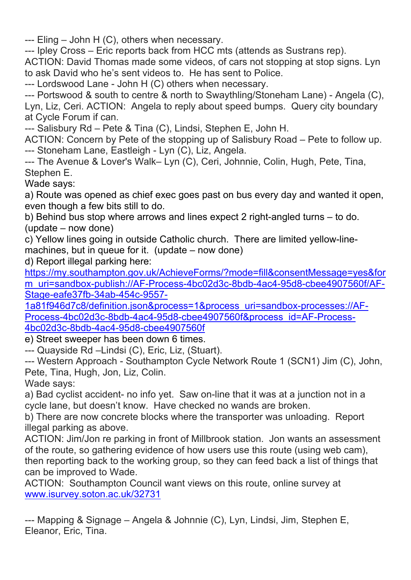--- Eling – John H (C), others when necessary.

--- Ipley Cross – Eric reports back from HCC mts (attends as Sustrans rep). ACTION: David Thomas made some videos, of cars not stopping at stop signs. Lyn to ask David who he's sent videos to. He has sent to Police.

--- Lordswood Lane - John H (C) others when necessary.

--- Portswood & south to centre & north to Swaythling/Stoneham Lane) - Angela (C), Lyn, Liz, Ceri. ACTION: Angela to reply about speed bumps. Query city boundary at Cycle Forum if can.

--- Salisbury Rd – Pete & Tina (C), Lindsi, Stephen E, John H.

ACTION: Concern by Pete of the stopping up of Salisbury Road – Pete to follow up. --- Stoneham Lane, Eastleigh - Lyn (C), Liz, Angela.

--- The Avenue & Lover's Walk– Lyn (C), Ceri, Johnnie, Colin, Hugh, Pete, Tina, Stephen E.

Wade says:

a) Route was opened as chief exec goes past on bus every day and wanted it open, even though a few bits still to do.

b) Behind bus stop where arrows and lines expect 2 right-angled turns – to do. (update – now done)

c) Yellow lines going in outside Catholic church. There are limited yellow-linemachines, but in queue for it. (update – now done)

d) Report illegal parking here:

https://my.southampton.gov.uk/AchieveForms/?mode=fill&consentMessage=yes&for m\_uri=sandbox-publish://AF-Process-4bc02d3c-8bdb-4ac4-95d8-cbee4907560f/AF-Stage-eafe37fb-34ab-454c-9557-

1a81f946d7c8/definition.json&process=1&process\_uri=sandbox-processes://AF-Process-4bc02d3c-8bdb-4ac4-95d8-cbee4907560f&process\_id=AF-Process-4bc02d3c-8bdb-4ac4-95d8-cbee4907560f

e) Street sweeper has been down 6 times.

--- Quayside Rd –Lindsi (C), Eric, Liz, (Stuart).

--- Western Approach - Southampton Cycle Network Route 1 (SCN1) Jim (C), John, Pete, Tina, Hugh, Jon, Liz, Colin.

Wade says:

a) Bad cyclist accident- no info yet. Saw on-line that it was at a junction not in a cycle lane, but doesn't know. Have checked no wands are broken.

b) There are now concrete blocks where the transporter was unloading. Report illegal parking as above.

ACTION: Jim/Jon re parking in front of Millbrook station. Jon wants an assessment of the route, so gathering evidence of how users use this route (using web cam), then reporting back to the working group, so they can feed back a list of things that can be improved to Wade.

ACTION: Southampton Council want views on this route, online survey at www.isurvey.soton.ac.uk/32731

--- Mapping & Signage – Angela & Johnnie (C), Lyn, Lindsi, Jim, Stephen E, Eleanor, Eric, Tina.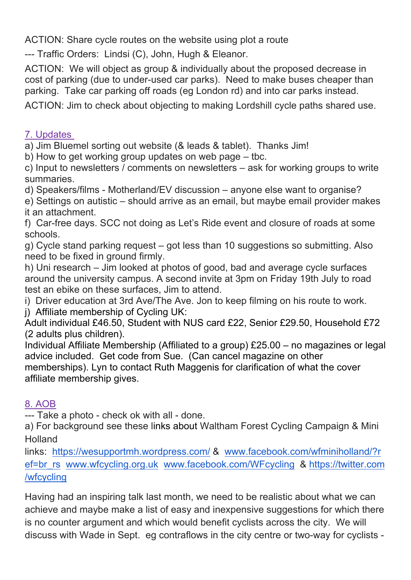ACTION: Share cycle routes on the website using plot a route

--- Traffic Orders: Lindsi (C), John, Hugh & Eleanor.

ACTION: We will object as group & individually about the proposed decrease in cost of parking (due to under-used car parks). Need to make buses cheaper than parking. Take car parking off roads (eg London rd) and into car parks instead.

ACTION: Jim to check about objecting to making Lordshill cycle paths shared use.

7. Updates

a) Jim Bluemel sorting out website (& leads & tablet). Thanks Jim!

b) How to get working group updates on web page – tbc.

c) Input to newsletters / comments on newsletters – ask for working groups to write summaries.

d) Speakers/films - Motherland/EV discussion – anyone else want to organise?

e) Settings on autistic – should arrive as an email, but maybe email provider makes it an attachment.

f) Car-free days. SCC not doing as Let's Ride event and closure of roads at some schools.

g) Cycle stand parking request – got less than 10 suggestions so submitting. Also need to be fixed in ground firmly.

h) Uni research – Jim looked at photos of good, bad and average cycle surfaces around the university campus. A second invite at 3pm on Friday 19th July to road test an ebike on these surfaces, Jim to attend.

i) Driver education at 3rd Ave/The Ave. Jon to keep filming on his route to work.

j) Affiliate membership of Cycling UK:

Adult individual £46.50, Student with NUS card £22, Senior £29.50, Household £72 (2 adults plus children).

Individual Affiliate Membership (Affiliated to a group) £25.00 – no magazines or legal advice included. Get code from Sue. (Can cancel magazine on other memberships). Lyn to contact Ruth Maggenis for clarification of what the cover affiliate membership gives.

## 8. AOB

--- Take a photo - check ok with all - done.

a) For background see these links about Waltham Forest Cycling Campaign & Mini Holland

links: https://wesupportmh.wordpress.com/ & www.facebook.com/wfminiholland/?r ef=br\_rs www.wfcycling.org.uk www.facebook.com/WFcycling & https://twitter.com /wfcycling

Having had an inspiring talk last month, we need to be realistic about what we can achieve and maybe make a list of easy and inexpensive suggestions for which there is no counter argument and which would benefit cyclists across the city. We will discuss with Wade in Sept. eg contraflows in the city centre or two-way for cyclists -